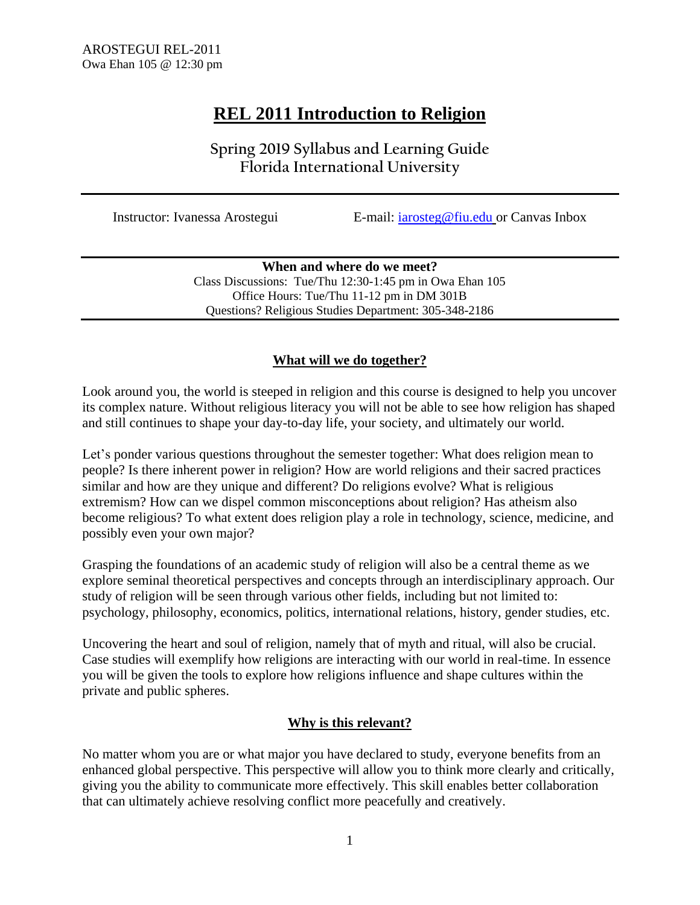# **REL 2011 Introduction to Religion**

**Spring 2019 Syllabus and Learning Guide Florida International University** 

Instructor: Ivanessa Arostegui E-mail: [iarosteg@fiu.edu](mailto:iarosteg@fiu.edu) or Canvas Inbox

**When and where do we meet?** Class Discussions: Tue/Thu 12:30-1:45 pm in Owa Ehan 105 Office Hours: Tue/Thu 11-12 pm in DM 301B Questions? Religious Studies Department: 305-348-2186

## **What will we do together?**

Look around you, the world is steeped in religion and this course is designed to help you uncover its complex nature. Without religious literacy you will not be able to see how religion has shaped and still continues to shape your day-to-day life, your society, and ultimately our world.

Let's ponder various questions throughout the semester together: What does religion mean to people? Is there inherent power in religion? How are world religions and their sacred practices similar and how are they unique and different? Do religions evolve? What is religious extremism? How can we dispel common misconceptions about religion? Has atheism also become religious? To what extent does religion play a role in technology, science, medicine, and possibly even your own major?

Grasping the foundations of an academic study of religion will also be a central theme as we explore seminal theoretical perspectives and concepts through an interdisciplinary approach. Our study of religion will be seen through various other fields, including but not limited to: psychology, philosophy, economics, politics, international relations, history, gender studies, etc.

Uncovering the heart and soul of religion, namely that of myth and ritual, will also be crucial. Case studies will exemplify how religions are interacting with our world in real-time. In essence you will be given the tools to explore how religions influence and shape cultures within the private and public spheres.

## **Why is this relevant?**

No matter whom you are or what major you have declared to study, everyone benefits from an enhanced global perspective. This perspective will allow you to think more clearly and critically, giving you the ability to communicate more effectively. This skill enables better collaboration that can ultimately achieve resolving conflict more peacefully and creatively.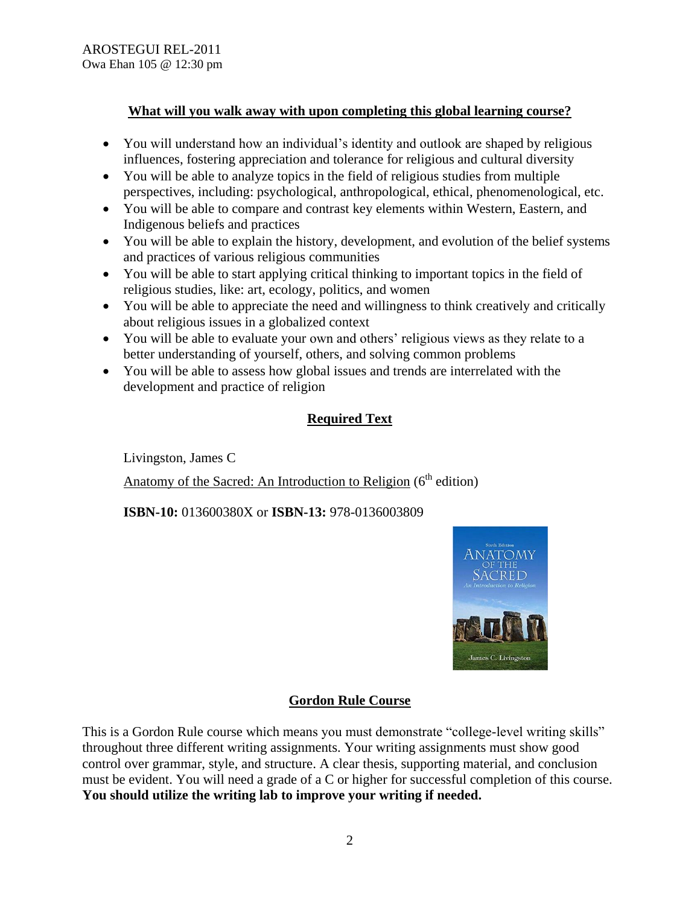## **What will you walk away with upon completing this global learning course?**

- You will understand how an individual's identity and outlook are shaped by religious influences, fostering appreciation and tolerance for religious and cultural diversity
- You will be able to analyze topics in the field of religious studies from multiple perspectives, including: psychological, anthropological, ethical, phenomenological, etc.
- You will be able to compare and contrast key elements within Western, Eastern, and Indigenous beliefs and practices
- You will be able to explain the history, development, and evolution of the belief systems and practices of various religious communities
- You will be able to start applying critical thinking to important topics in the field of religious studies, like: art, ecology, politics, and women
- You will be able to appreciate the need and willingness to think creatively and critically about religious issues in a globalized context
- You will be able to evaluate your own and others' religious views as they relate to a better understanding of yourself, others, and solving common problems
- You will be able to assess how global issues and trends are interrelated with the development and practice of religion

## **Required Text**

Livingston, James C

Anatomy of the Sacred: An Introduction to Religion  $(6<sup>th</sup>$  edition)

**ISBN-10:** 013600380X or **ISBN-13:** 978-0136003809



## **Gordon Rule Course**

This is a Gordon Rule course which means you must demonstrate "college-level writing skills" throughout three different writing assignments. Your writing assignments must show good control over grammar, style, and structure. A clear thesis, supporting material, and conclusion must be evident. You will need a grade of a C or higher for successful completion of this course. **You should utilize the writing lab to improve your writing if needed.**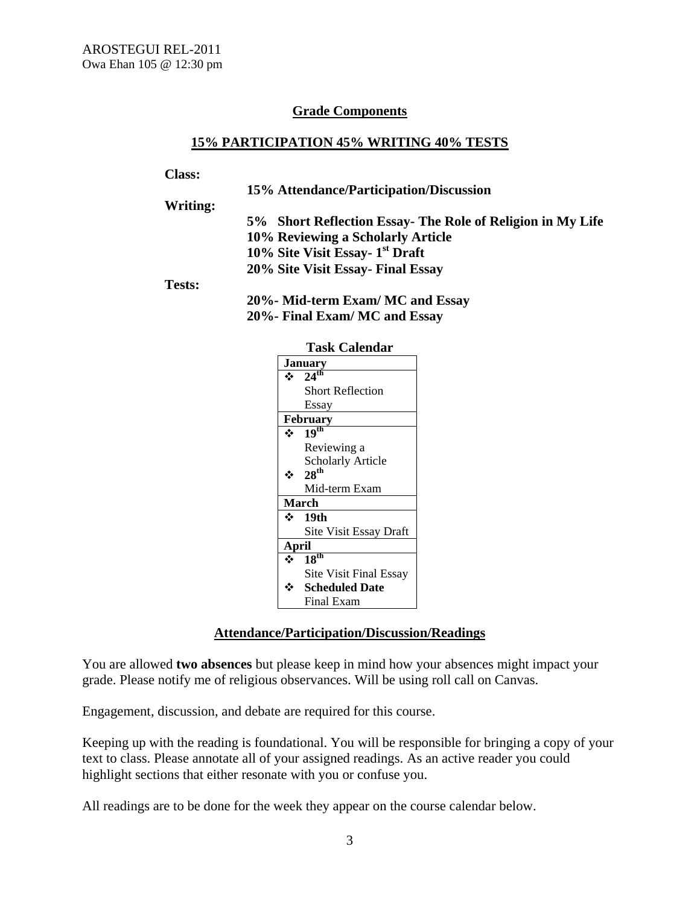## **Grade Components**

## **15% PARTICIPATION 45% WRITING 40% TESTS**

#### **Class:**

|               | 15% Attendance/Participation/Discussion                    |
|---------------|------------------------------------------------------------|
| Writing:      |                                                            |
|               | 5% Short Reflection Essay- The Role of Religion in My Life |
|               | 10% Reviewing a Scholarly Article                          |
|               | 10% Site Visit Essay- 1 <sup>st</sup> Draft                |
|               | 20% Site Visit Essay - Final Essay                         |
| <b>Tests:</b> |                                                            |
|               | 20% Mid-term Exam/ MC and Essay                            |
|               | 20%- Final Exam/ MC and Essay                              |
|               |                                                            |

| <b>Task Calendar</b> |                               |  |  |  |  |  |
|----------------------|-------------------------------|--|--|--|--|--|
| January              |                               |  |  |  |  |  |
|                      | $\cdot \cdot 24^{\text{th}}$  |  |  |  |  |  |
|                      | <b>Short Reflection</b>       |  |  |  |  |  |
|                      | Essay                         |  |  |  |  |  |
| <b>February</b>      |                               |  |  |  |  |  |
| $\mathbf{A}$         | 19 <sup>th</sup>              |  |  |  |  |  |
|                      | Reviewing a                   |  |  |  |  |  |
|                      | <b>Scholarly Article</b>      |  |  |  |  |  |
|                      | 28 <sup>th</sup>              |  |  |  |  |  |
|                      | Mid-term Exam                 |  |  |  |  |  |
| March                |                               |  |  |  |  |  |
| ż.                   | 19th                          |  |  |  |  |  |
|                      | <b>Site Visit Essay Draft</b> |  |  |  |  |  |
| April                |                               |  |  |  |  |  |
| ∗                    | 18 <sup>th</sup>              |  |  |  |  |  |
|                      | <b>Site Visit Final Essay</b> |  |  |  |  |  |
|                      | <b>Scheduled Date</b>         |  |  |  |  |  |
|                      | Final Exam                    |  |  |  |  |  |

#### **Attendance/Participation/Discussion/Readings**

You are allowed **two absences** but please keep in mind how your absences might impact your grade. Please notify me of religious observances. Will be using roll call on Canvas.

Engagement, discussion, and debate are required for this course.

Keeping up with the reading is foundational. You will be responsible for bringing a copy of your text to class. Please annotate all of your assigned readings. As an active reader you could highlight sections that either resonate with you or confuse you.

All readings are to be done for the week they appear on the course calendar below.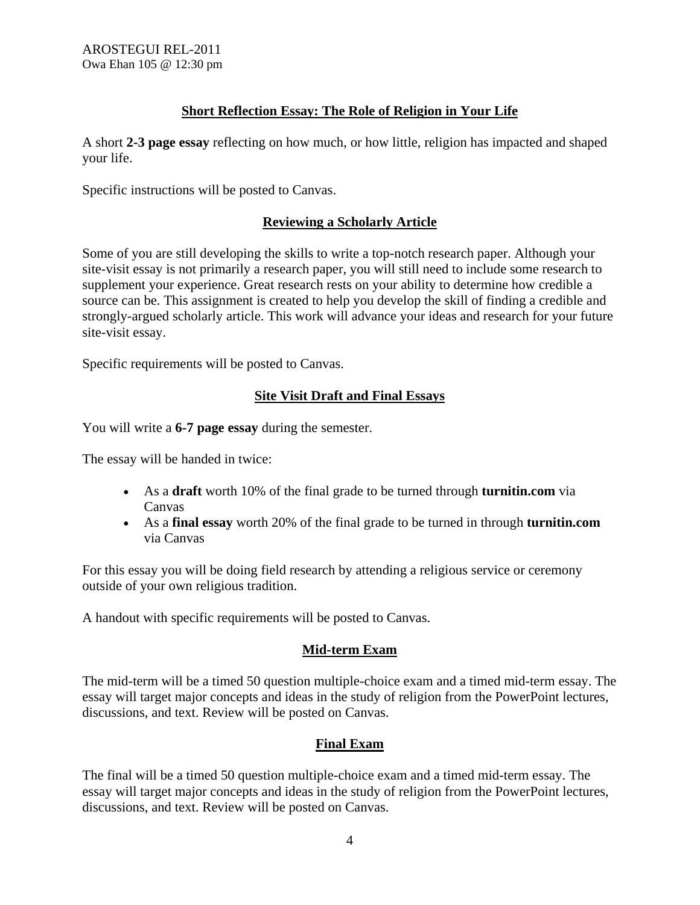## **Short Reflection Essay: The Role of Religion in Your Life**

A short **2-3 page essay** reflecting on how much, or how little, religion has impacted and shaped your life.

Specific instructions will be posted to Canvas.

## **Reviewing a Scholarly Article**

Some of you are still developing the skills to write a top-notch research paper. Although your site-visit essay is not primarily a research paper, you will still need to include some research to supplement your experience. Great research rests on your ability to determine how credible a source can be. This assignment is created to help you develop the skill of finding a credible and strongly-argued scholarly article. This work will advance your ideas and research for your future site-visit essay.

Specific requirements will be posted to Canvas.

## **Site Visit Draft and Final Essays**

You will write a **6-7 page essay** during the semester.

The essay will be handed in twice:

- As a **draft** worth 10% of the final grade to be turned through **turnitin.com** via Canvas
- As a **final essay** worth 20% of the final grade to be turned in through **turnitin.com** via Canvas

For this essay you will be doing field research by attending a religious service or ceremony outside of your own religious tradition.

A handout with specific requirements will be posted to Canvas.

## **Mid-term Exam**

The mid-term will be a timed 50 question multiple-choice exam and a timed mid-term essay. The essay will target major concepts and ideas in the study of religion from the PowerPoint lectures, discussions, and text. Review will be posted on Canvas.

## **Final Exam**

The final will be a timed 50 question multiple-choice exam and a timed mid-term essay. The essay will target major concepts and ideas in the study of religion from the PowerPoint lectures, discussions, and text. Review will be posted on Canvas.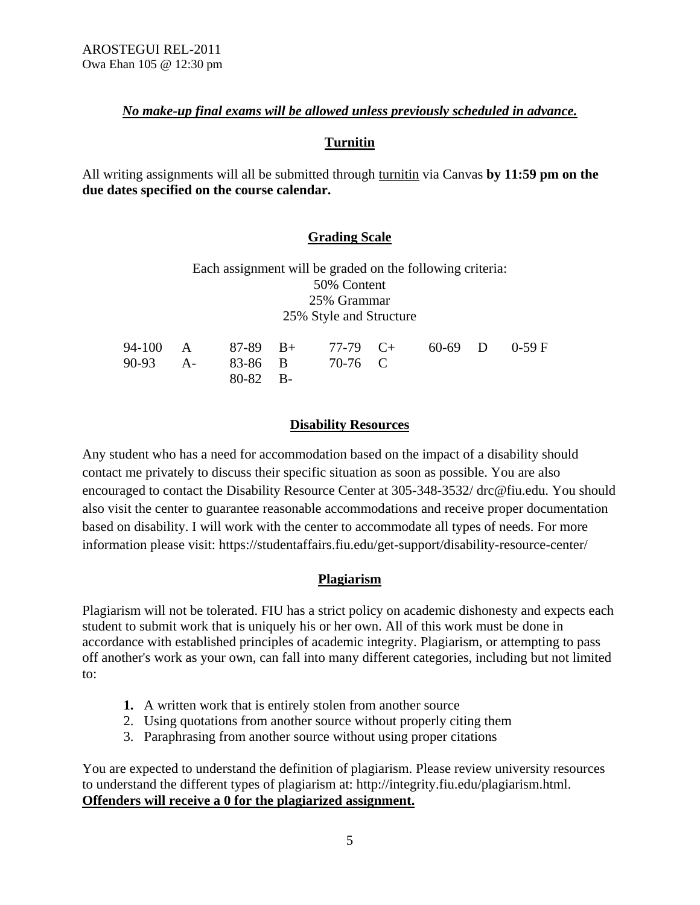## *No make-up final exams will be allowed unless previously scheduled in advance.*

## **Turnitin**

All writing assignments will all be submitted through [turnitin](http://www.turnitin.com/) via Canvas **by 11:59 pm on the due dates specified on the course calendar.** 

## **Grading Scale**

| Each assignment will be graded on the following criteria: |
|-----------------------------------------------------------|
| 50% Content                                               |
| 25% Grammar                                               |
| 25% Style and Structure                                   |

|  |            |                          | 94-100 A $87-89$ B+ 77-79 C+ 60-69 D 0-59 F |  |
|--|------------|--------------------------|---------------------------------------------|--|
|  |            | 90-93 A- 83-86 B 70-76 C |                                             |  |
|  | $80-82$ B- |                          |                                             |  |

## **Disability Resources**

Any student who has a need for accommodation based on the impact of a disability should contact me privately to discuss their specific situation as soon as possible. You are also encouraged to contact the Disability Resource Center at 305-348-3532/ drc@fiu.edu. You should also visit the center to guarantee reasonable accommodations and receive proper documentation based on disability. I will work with the center to accommodate all types of needs. For more information please visit: https://studentaffairs.fiu.edu/get-support/disability-resource-center/

## **Plagiarism**

Plagiarism will not be tolerated. FIU has a strict policy on academic dishonesty and expects each student to submit work that is uniquely his or her own. All of this work must be done in accordance with established principles of academic integrity. Plagiarism, or attempting to pass off another's work as your own, can fall into many different categories, including but not limited to:

- **1.** A written work that is entirely stolen from another source
- 2. Using quotations from another source without properly citing them
- 3. Paraphrasing from another source without using proper citations

You are expected to understand the definition of plagiarism. Please review university resources to understand the different types of plagiarism at: http://integrity.fiu.edu/plagiarism.html. **Offenders will receive a 0 for the plagiarized assignment.**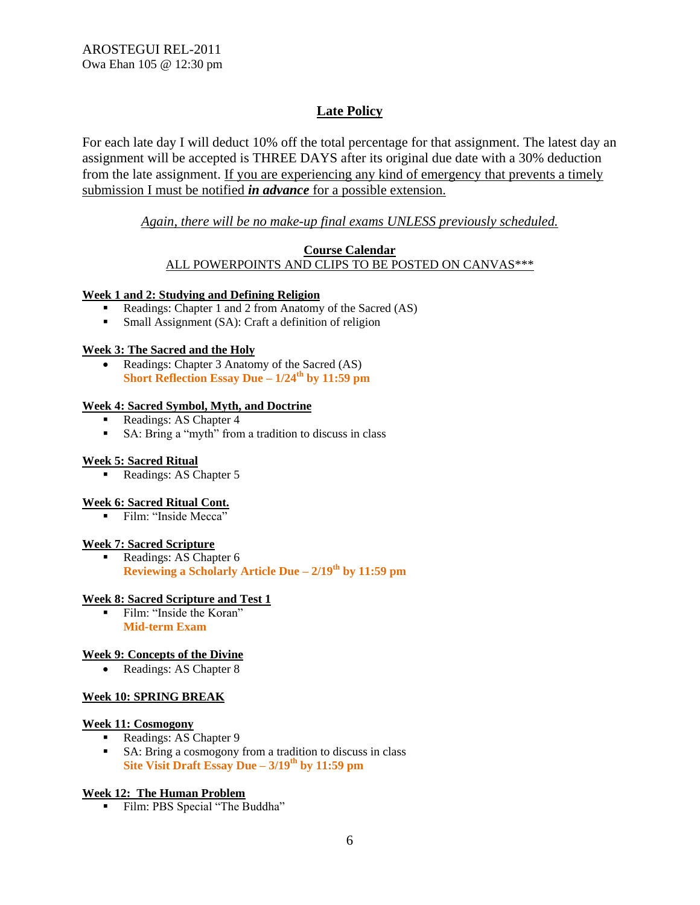## **Late Policy**

For each late day I will deduct 10% off the total percentage for that assignment. The latest day an assignment will be accepted is THREE DAYS after its original due date with a 30% deduction from the late assignment. If you are experiencing any kind of emergency that prevents a timely submission I must be notified *in advance* for a possible extension.

## *Again, there will be no make-up final exams UNLESS previously scheduled.*

#### **Course Calendar**

ALL POWERPOINTS AND CLIPS TO BE POSTED ON CANVAS\*\*\*

#### **Week 1 and 2: Studying and Defining Religion**

- Readings: Chapter 1 and 2 from Anatomy of the Sacred (AS)
- Small Assignment (SA): Craft a definition of religion

#### **Week 3: The Sacred and the Holy**

• Readings: Chapter 3 Anatomy of the Sacred (AS) **Short Reflection Essay Due – 1/24th by 11:59 pm** 

## **Week 4: Sacred Symbol, Myth, and Doctrine**

- Readings: AS Chapter 4
- SA: Bring a "myth" from a tradition to discuss in class

#### **Week 5: Sacred Ritual**

Readings: AS Chapter 5

#### **Week 6: Sacred Ritual Cont.**

Film: "Inside Mecca"

#### **Week 7: Sacred Scripture**

Readings: AS Chapter 6 **Reviewing a Scholarly Article Due – 2/19th by 11:59 pm** 

### **Week 8: Sacred Scripture and Test 1**

 Film: "Inside the Koran" **Mid-term Exam**

#### **Week 9: Concepts of the Divine**

• Readings: AS Chapter 8

#### **Week 10: SPRING BREAK**

#### **Week 11: Cosmogony**

- Readings: AS Chapter 9
- SA: Bring a cosmogony from a tradition to discuss in class **Site Visit Draft Essay Due – 3/19th by 11:59 pm**

#### **Week 12: The Human Problem**

Film: PBS Special "The Buddha"